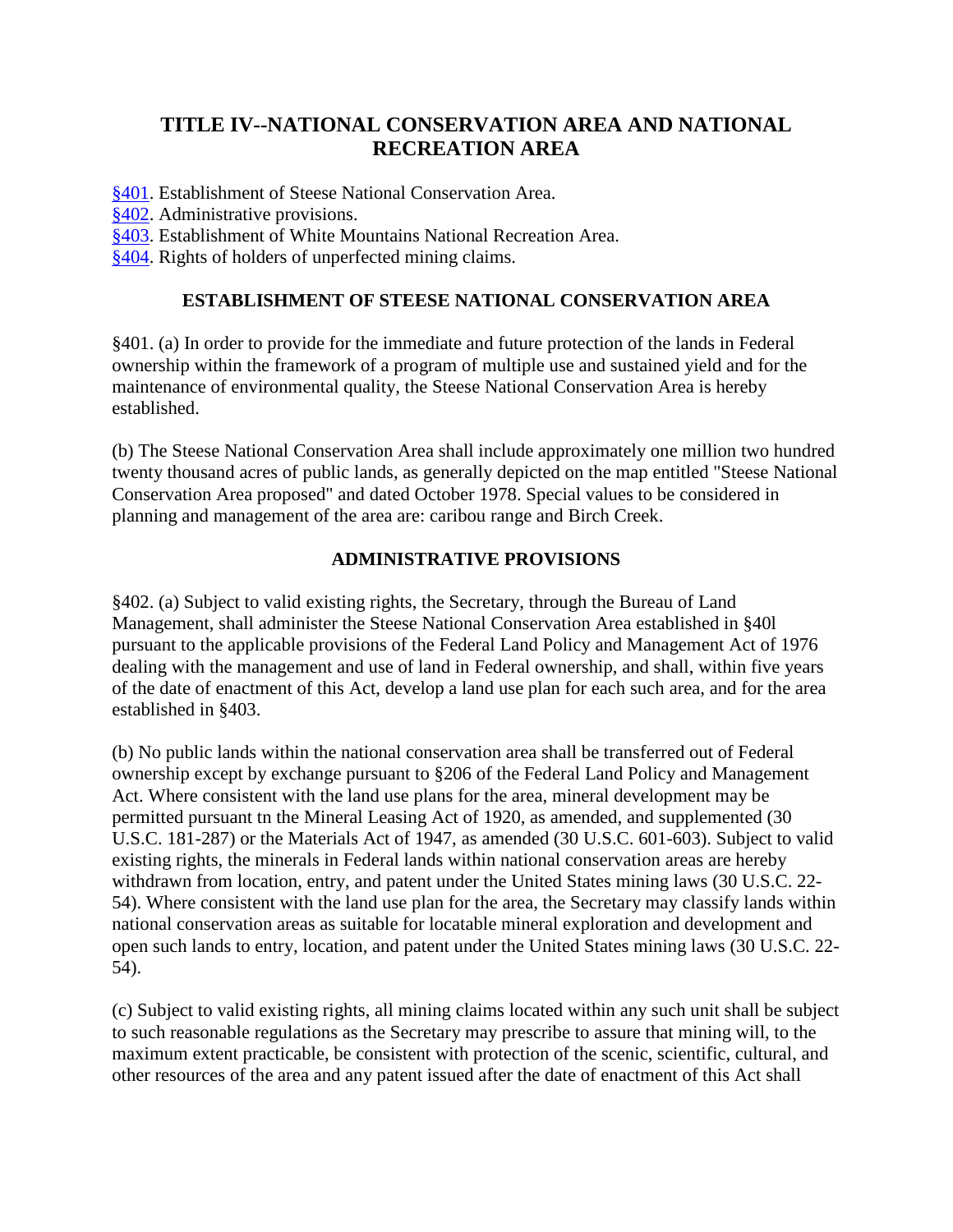# **TITLE IV--NATIONAL CONSERVATION AREA AND NATIONAL RECREATION AREA**

[§401.](http://www.web-ak.com/anilca/title04.html%23401) Establishment of Steese National Conservation Area.

- [§402.](http://www.web-ak.com/anilca/title04.html%23402) Administrative provisions.
- [§403.](http://www.web-ak.com/anilca/title04.html%23403) Establishment of White Mountains National Recreation Area.
- [§404.](http://www.web-ak.com/anilca/title04.html%23404) Rights of holders of unperfected mining claims.

#### **ESTABLISHMENT OF STEESE NATIONAL CONSERVATION AREA**

§401. (a) In order to provide for the immediate and future protection of the lands in Federal ownership within the framework of a program of multiple use and sustained yield and for the maintenance of environmental quality, the Steese National Conservation Area is hereby established.

(b) The Steese National Conservation Area shall include approximately one million two hundred twenty thousand acres of public lands, as generally depicted on the map entitled "Steese National Conservation Area proposed" and dated October 1978. Special values to be considered in planning and management of the area are: caribou range and Birch Creek.

#### **ADMINISTRATIVE PROVISIONS**

§402. (a) Subject to valid existing rights, the Secretary, through the Bureau of Land Management, shall administer the Steese National Conservation Area established in §40l pursuant to the applicable provisions of the Federal Land Policy and Management Act of 1976 dealing with the management and use of land in Federal ownership, and shall, within five years of the date of enactment of this Act, develop a land use plan for each such area, and for the area established in §403.

(b) No public lands within the national conservation area shall be transferred out of Federal ownership except by exchange pursuant to §206 of the Federal Land Policy and Management Act. Where consistent with the land use plans for the area, mineral development may be permitted pursuant tn the Mineral Leasing Act of 1920, as amended, and supplemented (30 U.S.C. 181-287) or the Materials Act of 1947, as amended (30 U.S.C. 601-603). Subject to valid existing rights, the minerals in Federal lands within national conservation areas are hereby withdrawn from location, entry, and patent under the United States mining laws (30 U.S.C. 22- 54). Where consistent with the land use plan for the area, the Secretary may classify lands within national conservation areas as suitable for locatable mineral exploration and development and open such lands to entry, location, and patent under the United States mining laws (30 U.S.C. 22- 54).

(c) Subject to valid existing rights, all mining claims located within any such unit shall be subject to such reasonable regulations as the Secretary may prescribe to assure that mining will, to the maximum extent practicable, be consistent with protection of the scenic, scientific, cultural, and other resources of the area and any patent issued after the date of enactment of this Act shall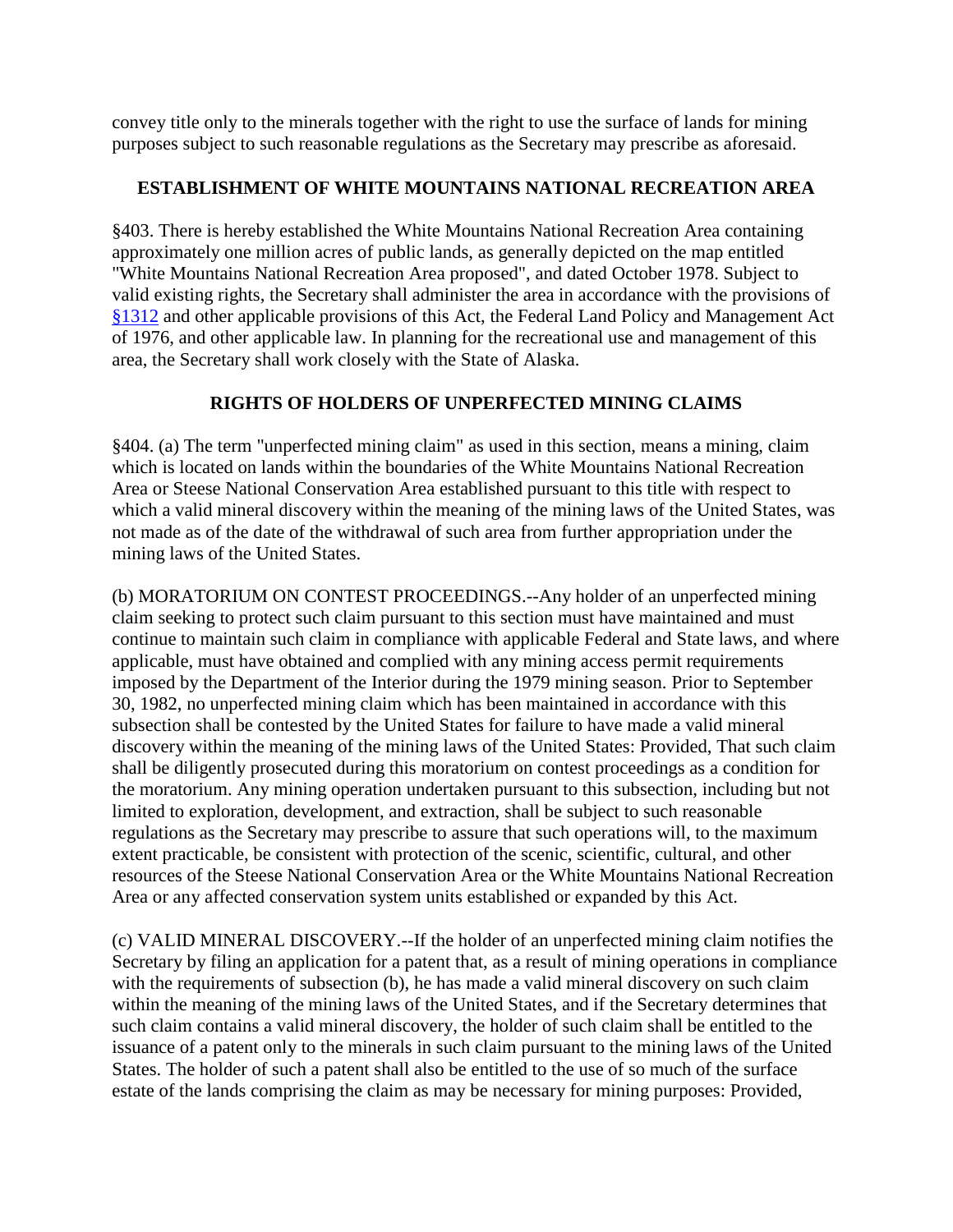convey title only to the minerals together with the right to use the surface of lands for mining purposes subject to such reasonable regulations as the Secretary may prescribe as aforesaid.

### **ESTABLISHMENT OF WHITE MOUNTAINS NATIONAL RECREATION AREA**

§403. There is hereby established the White Mountains National Recreation Area containing approximately one million acres of public lands, as generally depicted on the map entitled "White Mountains National Recreation Area proposed", and dated October 1978. Subject to valid existing rights, the Secretary shall administer the area in accordance with the provisions of [§1312](http://www.web-ak.com/anilca/%20title13.html%231312) and other applicable provisions of this Act, the Federal Land Policy and Management Act of 1976, and other applicable law. In planning for the recreational use and management of this area, the Secretary shall work closely with the State of Alaska.

## **RIGHTS OF HOLDERS OF UNPERFECTED MINING CLAIMS**

§404. (a) The term "unperfected mining claim" as used in this section, means a mining, claim which is located on lands within the boundaries of the White Mountains National Recreation Area or Steese National Conservation Area established pursuant to this title with respect to which a valid mineral discovery within the meaning of the mining laws of the United States, was not made as of the date of the withdrawal of such area from further appropriation under the mining laws of the United States.

(b) MORATORIUM ON CONTEST PROCEEDINGS.--Any holder of an unperfected mining claim seeking to protect such claim pursuant to this section must have maintained and must continue to maintain such claim in compliance with applicable Federal and State laws, and where applicable, must have obtained and complied with any mining access permit requirements imposed by the Department of the Interior during the 1979 mining season. Prior to September 30, 1982, no unperfected mining claim which has been maintained in accordance with this subsection shall be contested by the United States for failure to have made a valid mineral discovery within the meaning of the mining laws of the United States: Provided, That such claim shall be diligently prosecuted during this moratorium on contest proceedings as a condition for the moratorium. Any mining operation undertaken pursuant to this subsection, including but not limited to exploration, development, and extraction, shall be subject to such reasonable regulations as the Secretary may prescribe to assure that such operations will, to the maximum extent practicable, be consistent with protection of the scenic, scientific, cultural, and other resources of the Steese National Conservation Area or the White Mountains National Recreation Area or any affected conservation system units established or expanded by this Act.

(c) VALID MINERAL DISCOVERY.--If the holder of an unperfected mining claim notifies the Secretary by filing an application for a patent that, as a result of mining operations in compliance with the requirements of subsection (b), he has made a valid mineral discovery on such claim within the meaning of the mining laws of the United States, and if the Secretary determines that such claim contains a valid mineral discovery, the holder of such claim shall be entitled to the issuance of a patent only to the minerals in such claim pursuant to the mining laws of the United States. The holder of such a patent shall also be entitled to the use of so much of the surface estate of the lands comprising the claim as may be necessary for mining purposes: Provided,